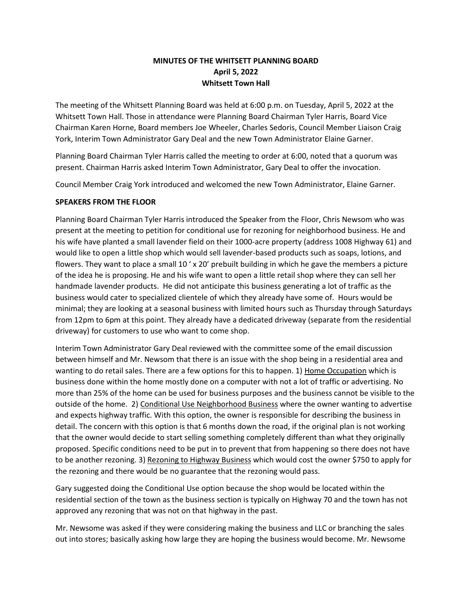# **MINUTES OF THE WHITSETT PLANNING BOARD April 5, 2022 Whitsett Town Hall**

The meeting of the Whitsett Planning Board was held at 6:00 p.m. on Tuesday, April 5, 2022 at the Whitsett Town Hall. Those in attendance were Planning Board Chairman Tyler Harris, Board Vice Chairman Karen Horne, Board members Joe Wheeler, Charles Sedoris, Council Member Liaison Craig York, Interim Town Administrator Gary Deal and the new Town Administrator Elaine Garner.

Planning Board Chairman Tyler Harris called the meeting to order at 6:00, noted that a quorum was present. Chairman Harris asked Interim Town Administrator, Gary Deal to offer the invocation.

Council Member Craig York introduced and welcomed the new Town Administrator, Elaine Garner.

### **SPEAKERS FROM THE FLOOR**

Planning Board Chairman Tyler Harris introduced the Speaker from the Floor, Chris Newsom who was present at the meeting to petition for conditional use for rezoning for neighborhood business. He and his wife have planted a small lavender field on their 1000-acre property (address 1008 Highway 61) and would like to open a little shop which would sell lavender-based products such as soaps, lotions, and flowers. They want to place a small 10 ' x 20' prebuilt building in which he gave the members a picture of the idea he is proposing. He and his wife want to open a little retail shop where they can sell her handmade lavender products. He did not anticipate this business generating a lot of traffic as the business would cater to specialized clientele of which they already have some of. Hours would be minimal; they are looking at a seasonal business with limited hours such as Thursday through Saturdays from 12pm to 6pm at this point. They already have a dedicated driveway (separate from the residential driveway) for customers to use who want to come shop.

Interim Town Administrator Gary Deal reviewed with the committee some of the email discussion between himself and Mr. Newsom that there is an issue with the shop being in a residential area and wanting to do retail sales. There are a few options for this to happen. 1) Home Occupation which is business done within the home mostly done on a computer with not a lot of traffic or advertising. No more than 25% of the home can be used for business purposes and the business cannot be visible to the outside of the home. 2) Conditional Use Neighborhood Business where the owner wanting to advertise and expects highway traffic. With this option, the owner is responsible for describing the business in detail. The concern with this option is that 6 months down the road, if the original plan is not working that the owner would decide to start selling something completely different than what they originally proposed. Specific conditions need to be put in to prevent that from happening so there does not have to be another rezoning. 3) Rezoning to Highway Business which would cost the owner \$750 to apply for the rezoning and there would be no guarantee that the rezoning would pass.

Gary suggested doing the Conditional Use option because the shop would be located within the residential section of the town as the business section is typically on Highway 70 and the town has not approved any rezoning that was not on that highway in the past.

Mr. Newsome was asked if they were considering making the business and LLC or branching the sales out into stores; basically asking how large they are hoping the business would become. Mr. Newsome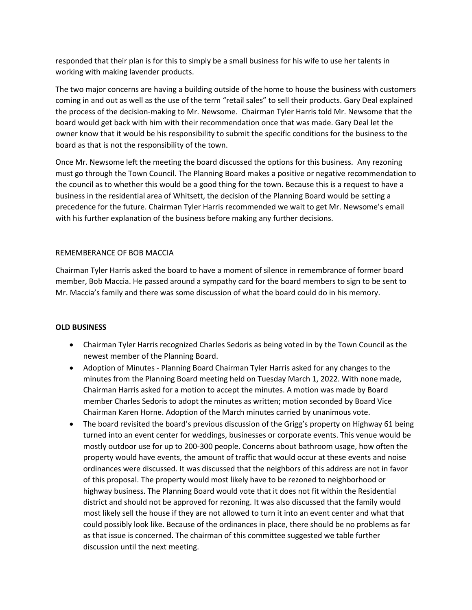responded that their plan is for this to simply be a small business for his wife to use her talents in working with making lavender products.

The two major concerns are having a building outside of the home to house the business with customers coming in and out as well as the use of the term "retail sales" to sell their products. Gary Deal explained the process of the decision-making to Mr. Newsome. Chairman Tyler Harris told Mr. Newsome that the board would get back with him with their recommendation once that was made. Gary Deal let the owner know that it would be his responsibility to submit the specific conditions for the business to the board as that is not the responsibility of the town.

Once Mr. Newsome left the meeting the board discussed the options for this business. Any rezoning must go through the Town Council. The Planning Board makes a positive or negative recommendation to the council as to whether this would be a good thing for the town. Because this is a request to have a business in the residential area of Whitsett, the decision of the Planning Board would be setting a precedence for the future. Chairman Tyler Harris recommended we wait to get Mr. Newsome's email with his further explanation of the business before making any further decisions.

### REMEMBERANCE OF BOB MACCIA

Chairman Tyler Harris asked the board to have a moment of silence in remembrance of former board member, Bob Maccia. He passed around a sympathy card for the board members to sign to be sent to Mr. Maccia's family and there was some discussion of what the board could do in his memory.

### **OLD BUSINESS**

- Chairman Tyler Harris recognized Charles Sedoris as being voted in by the Town Council as the newest member of the Planning Board.
- Adoption of Minutes Planning Board Chairman Tyler Harris asked for any changes to the minutes from the Planning Board meeting held on Tuesday March 1, 2022. With none made, Chairman Harris asked for a motion to accept the minutes. A motion was made by Board member Charles Sedoris to adopt the minutes as written; motion seconded by Board Vice Chairman Karen Horne. Adoption of the March minutes carried by unanimous vote.
- The board revisited the board's previous discussion of the Grigg's property on Highway 61 being turned into an event center for weddings, businesses or corporate events. This venue would be mostly outdoor use for up to 200-300 people. Concerns about bathroom usage, how often the property would have events, the amount of traffic that would occur at these events and noise ordinances were discussed. It was discussed that the neighbors of this address are not in favor of this proposal. The property would most likely have to be rezoned to neighborhood or highway business. The Planning Board would vote that it does not fit within the Residential district and should not be approved for rezoning. It was also discussed that the family would most likely sell the house if they are not allowed to turn it into an event center and what that could possibly look like. Because of the ordinances in place, there should be no problems as far as that issue is concerned. The chairman of this committee suggested we table further discussion until the next meeting.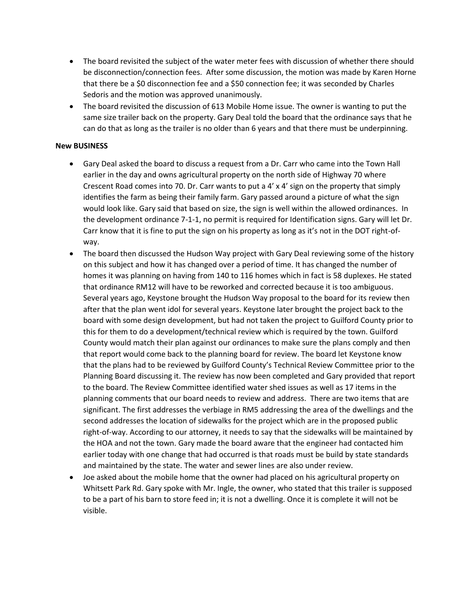- The board revisited the subject of the water meter fees with discussion of whether there should be disconnection/connection fees. After some discussion, the motion was made by Karen Horne that there be a \$0 disconnection fee and a \$50 connection fee; it was seconded by Charles Sedoris and the motion was approved unanimously.
- The board revisited the discussion of 613 Mobile Home issue. The owner is wanting to put the same size trailer back on the property. Gary Deal told the board that the ordinance says that he can do that as long as the trailer is no older than 6 years and that there must be underpinning.

## **New BUSINESS**

- Gary Deal asked the board to discuss a request from a Dr. Carr who came into the Town Hall earlier in the day and owns agricultural property on the north side of Highway 70 where Crescent Road comes into 70. Dr. Carr wants to put a 4' x 4' sign on the property that simply identifies the farm as being their family farm. Gary passed around a picture of what the sign would look like. Gary said that based on size, the sign is well within the allowed ordinances. In the development ordinance 7-1-1, no permit is required for Identification signs. Gary will let Dr. Carr know that it is fine to put the sign on his property as long as it's not in the DOT right-ofway.
- The board then discussed the Hudson Way project with Gary Deal reviewing some of the history on this subject and how it has changed over a period of time. It has changed the number of homes it was planning on having from 140 to 116 homes which in fact is 58 duplexes. He stated that ordinance RM12 will have to be reworked and corrected because it is too ambiguous. Several years ago, Keystone brought the Hudson Way proposal to the board for its review then after that the plan went idol for several years. Keystone later brought the project back to the board with some design development, but had not taken the project to Guilford County prior to this for them to do a development/technical review which is required by the town. Guilford County would match their plan against our ordinances to make sure the plans comply and then that report would come back to the planning board for review. The board let Keystone know that the plans had to be reviewed by Guilford County's Technical Review Committee prior to the Planning Board discussing it. The review has now been completed and Gary provided that report to the board. The Review Committee identified water shed issues as well as 17 items in the planning comments that our board needs to review and address. There are two items that are significant. The first addresses the verbiage in RM5 addressing the area of the dwellings and the second addresses the location of sidewalks for the project which are in the proposed public right-of-way. According to our attorney, it needs to say that the sidewalks will be maintained by the HOA and not the town. Gary made the board aware that the engineer had contacted him earlier today with one change that had occurred is that roads must be build by state standards and maintained by the state. The water and sewer lines are also under review.
- Joe asked about the mobile home that the owner had placed on his agricultural property on Whitsett Park Rd. Gary spoke with Mr. Ingle, the owner, who stated that this trailer is supposed to be a part of his barn to store feed in; it is not a dwelling. Once it is complete it will not be visible.